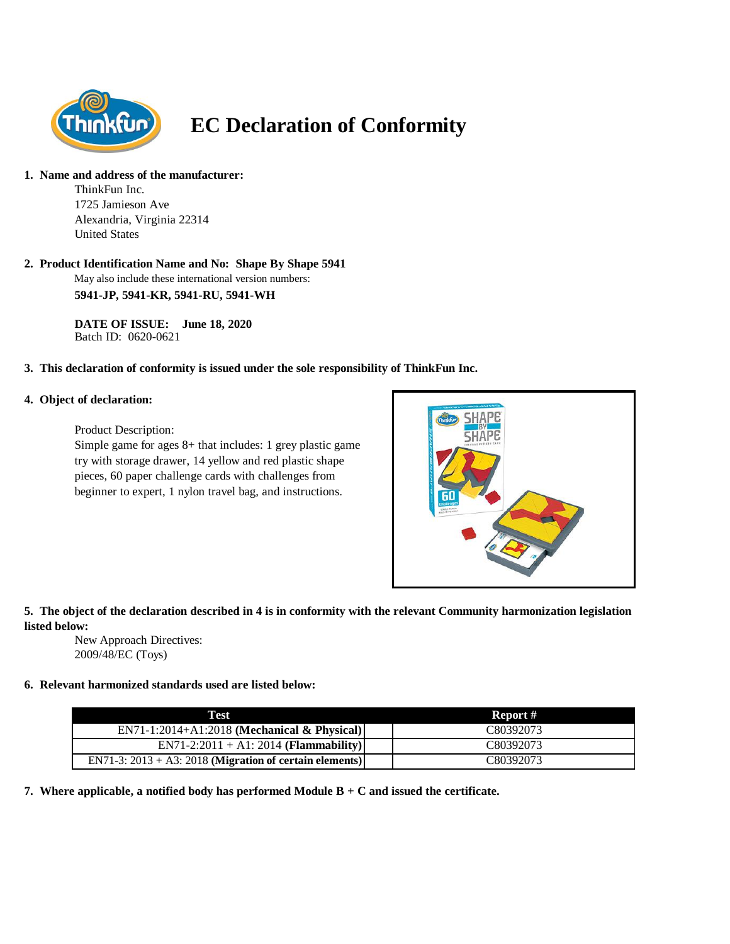

# **EC Declaration of Conformity**

# **1. Name and address of the manufacturer:**

ThinkFun Inc. 1725 Jamieson Ave Alexandria, Virginia 22314 United States

# **2. Product Identification Name and No: Shape By Shape 5941**

May also include these international version numbers: **5941-JP, 5941-KR, 5941-RU, 5941-WH**

**DATE OF ISSUE: June 18, 2020** Batch ID: 0620-0621

# **3. This declaration of conformity is issued under the sole responsibility of ThinkFun Inc.**

#### **4. Object of declaration:**

Product Description:

Simple game for ages 8+ that includes: 1 grey plastic game try with storage drawer, 14 yellow and red plastic shape pieces, 60 paper challenge cards with challenges from beginner to expert, 1 nylon travel bag, and instructions.



# **5. The object of the declaration described in 4 is in conformity with the relevant Community harmonization legislation listed below:**

New Approach Directives: 2009/48/EC (Toys)

# **6. Relevant harmonized standards used are listed below:**

| Test                                                       | Report #  |
|------------------------------------------------------------|-----------|
| $EN71-1:2014+A1:2018$ (Mechanical & Physical)              | C80392073 |
| $EN71-2:2011 + A1:2014 (Flammablity)$                      | C80392073 |
| EN71-3: $2013 + A3$ : 2018 (Migration of certain elements) | C80392073 |

**7. Where applicable, a notified body has performed Module B + C and issued the certificate.**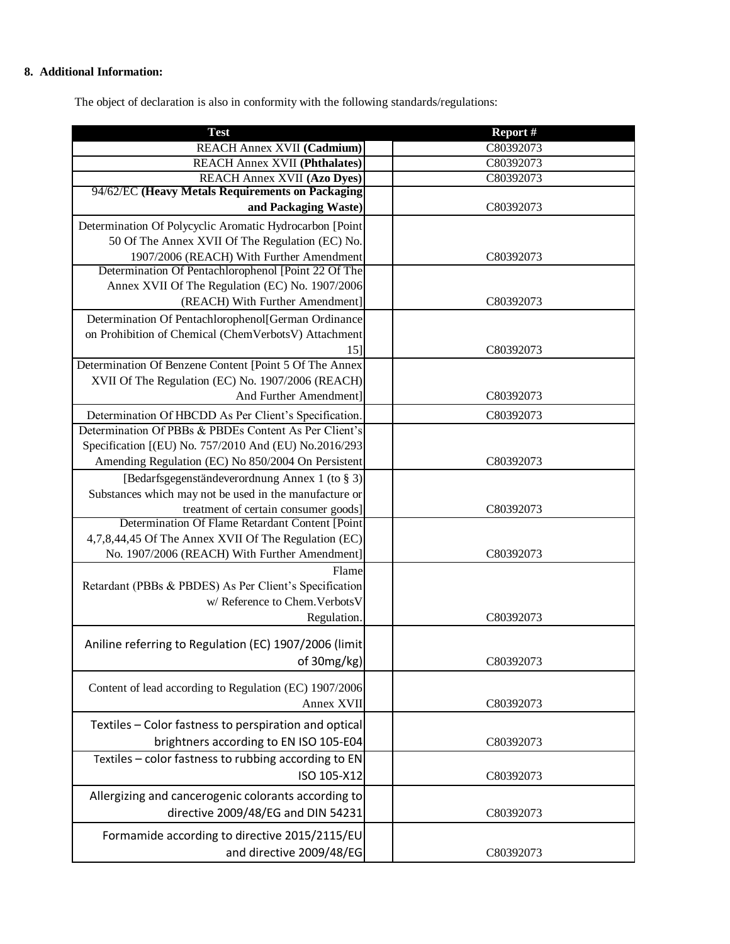# **8. Additional Information:**

The object of declaration is also in conformity with the following standards/regulations:

| <b>Test</b>                                                                                                    | Report #  |
|----------------------------------------------------------------------------------------------------------------|-----------|
| REACH Annex XVII (Cadmium)                                                                                     | C80392073 |
| <b>REACH Annex XVII (Phthalates)</b>                                                                           | C80392073 |
| <b>REACH Annex XVII (Azo Dyes)</b>                                                                             | C80392073 |
| 94/62/EC (Heavy Metals Requirements on Packaging                                                               |           |
| and Packaging Waste)                                                                                           | C80392073 |
| Determination Of Polycyclic Aromatic Hydrocarbon [Point                                                        |           |
| 50 Of The Annex XVII Of The Regulation (EC) No.                                                                |           |
| 1907/2006 (REACH) With Further Amendment                                                                       | C80392073 |
| Determination Of Pentachlorophenol [Point 22 Of The                                                            |           |
| Annex XVII Of The Regulation (EC) No. 1907/2006                                                                |           |
| (REACH) With Further Amendment]                                                                                | C80392073 |
| Determination Of Pentachlorophenol[German Ordinance                                                            |           |
| on Prohibition of Chemical (ChemVerbotsV) Attachment                                                           |           |
| 15]<br>Determination Of Benzene Content [Point 5 Of The Annex                                                  | C80392073 |
| XVII Of The Regulation (EC) No. 1907/2006 (REACH)                                                              |           |
| And Further Amendment]                                                                                         | C80392073 |
|                                                                                                                |           |
| Determination Of HBCDD As Per Client's Specification.<br>Determination Of PBBs & PBDEs Content As Per Client's | C80392073 |
| Specification [(EU) No. 757/2010 And (EU) No.2016/293                                                          |           |
| Amending Regulation (EC) No 850/2004 On Persistent                                                             | C80392073 |
| [Bedarfsgegenständeverordnung Annex 1 (to § 3)]                                                                |           |
| Substances which may not be used in the manufacture or                                                         |           |
| treatment of certain consumer goods]                                                                           | C80392073 |
| Determination Of Flame Retardant Content [Point                                                                |           |
| 4,7,8,44,45 Of The Annex XVII Of The Regulation (EC)                                                           |           |
| No. 1907/2006 (REACH) With Further Amendment]                                                                  | C80392073 |
| Flame                                                                                                          |           |
| Retardant (PBBs & PBDES) As Per Client's Specification                                                         |           |
| w/ Reference to Chem. Verbots V                                                                                |           |
| Regulation.                                                                                                    | C80392073 |
|                                                                                                                |           |
| Aniline referring to Regulation (EC) 1907/2006 (limit)                                                         |           |
| of 30mg/kg)                                                                                                    | C80392073 |
| Content of lead according to Regulation (EC) 1907/2006                                                         |           |
| Annex XVII                                                                                                     | C80392073 |
|                                                                                                                |           |
| Textiles - Color fastness to perspiration and optical                                                          |           |
| brightners according to EN ISO 105-E04                                                                         | C80392073 |
| Textiles - color fastness to rubbing according to EN                                                           |           |
| ISO 105-X12                                                                                                    | C80392073 |
| Allergizing and cancerogenic colorants according to                                                            |           |
| directive 2009/48/EG and DIN 54231                                                                             | C80392073 |
| Formamide according to directive 2015/2115/EU                                                                  |           |
| and directive 2009/48/EG                                                                                       | C80392073 |
|                                                                                                                |           |